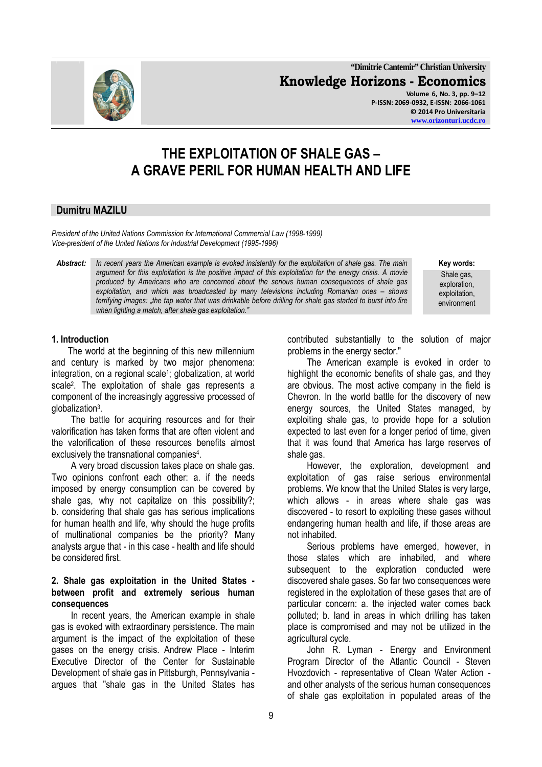**"Dimitrie Cantemir" Christian University Knowledge Horizons - Economics Volume 6, No. 3, pp. 9–12** 

**P-ISSN: 2069-0932, E-ISSN: 2066-1061 © 2014 Pro Universitaria www.orizonturi.ucdc.ro**

# **THE EXPLOITATION OF SHALE GAS – A GRAVE PERIL FOR HUMAN HEALTH AND LIFE**

# **Dumitru MAZILU**

*President of the United Nations Commission for International Commercial Law (1998-1999) Vice-president of the United Nations for Industrial Development (1995-1996)* 

*Abstract: In recent years the American example is evoked insistently for the exploitation of shale gas. The main* **Key words:**  *argument for this exploitation is the positive impact of this exploitation for the energy crisis. A movie produced by Americans who are concerned about the serious human consequences of shale gas exploitation, and which was broadcasted by many televisions including Romanian ones – shows*  terrifying images: "the tap water that was drinkable before drilling for shale gas started to burst into fire *when lighting a match, after shale gas exploitation."* 

Shale gas, exploration, exploitation, environment

#### **1. Introduction**

The world at the beginning of this new millennium and century is marked by two major phenomena: integration, on a regional scale<sup>1</sup>; globalization, at world scale<sup>2</sup>. The exploitation of shale gas represents a component of the increasingly aggressive processed of globalization<sup>3</sup> .

The battle for acquiring resources and for their valorification has taken forms that are often violent and the valorification of these resources benefits almost exclusively the transnational companies<sup>4</sup>.

A very broad discussion takes place on shale gas. Two opinions confront each other: a. if the needs imposed by energy consumption can be covered by shale gas, why not capitalize on this possibility?; b. considering that shale gas has serious implications for human health and life, why should the huge profits of multinational companies be the priority? Many analysts argue that - in this case - health and life should be considered first.

#### **2. Shale gas exploitation in the United States between profit and extremely serious human consequences**

In recent years, the American example in shale gas is evoked with extraordinary persistence. The main argument is the impact of the exploitation of these gases on the energy crisis. Andrew Place - Interim Executive Director of the Center for Sustainable Development of shale gas in Pittsburgh, Pennsylvania argues that "shale gas in the United States has

contributed substantially to the solution of major problems in the energy sector."

The American example is evoked in order to highlight the economic benefits of shale gas, and they are obvious. The most active company in the field is Chevron. In the world battle for the discovery of new energy sources, the United States managed, by exploiting shale gas, to provide hope for a solution expected to last even for a longer period of time, given that it was found that America has large reserves of shale gas.

However, the exploration, development and exploitation of gas raise serious environmental problems. We know that the United States is very large, which allows - in areas where shale gas was discovered - to resort to exploiting these gases without endangering human health and life, if those areas are not inhabited.

Serious problems have emerged, however, in those states which are inhabited, and where subsequent to the exploration conducted were discovered shale gases. So far two consequences were registered in the exploitation of these gases that are of particular concern: a. the injected water comes back polluted; b. land in areas in which drilling has taken place is compromised and may not be utilized in the agricultural cycle.

John R. Lyman - Energy and Environment Program Director of the Atlantic Council - Steven Hvozdovich - representative of Clean Water Action and other analysts of the serious human consequences of shale gas exploitation in populated areas of the

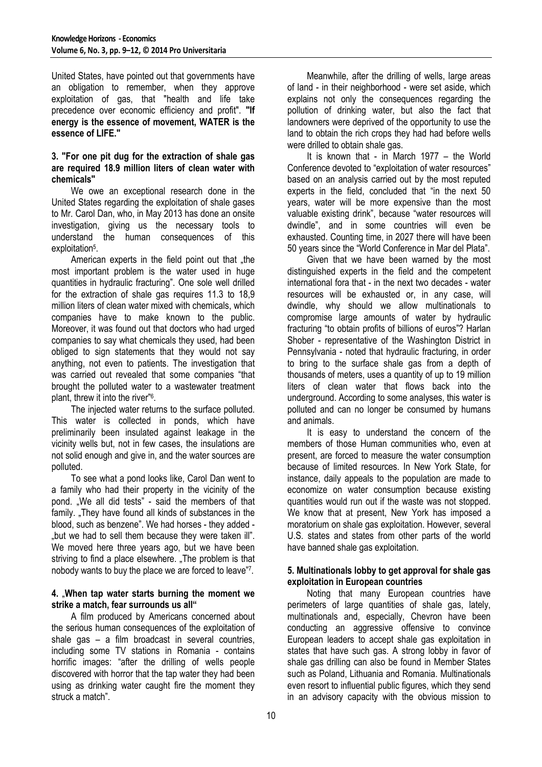United States, have pointed out that governments have an obligation to remember, when they approve exploitation of gas, that "health and life take precedence over economic efficiency and profit". **"If energy is the essence of movement, WATER is the essence of LIFE."**

#### **3. "For one pit dug for the extraction of shale gas are required 18.9 million liters of clean water with chemicals"**

We owe an exceptional research done in the United States regarding the exploitation of shale gases to Mr. Carol Dan, who, in May 2013 has done an onsite investigation, giving us the necessary tools to understand the human consequences of this exploitation<sup>5</sup>.

American experts in the field point out that "the most important problem is the water used in huge quantities in hydraulic fracturing". One sole well drilled for the extraction of shale gas requires 11.3 to 18,9 million liters of clean water mixed with chemicals, which companies have to make known to the public. Moreover, it was found out that doctors who had urged companies to say what chemicals they used, had been obliged to sign statements that they would not say anything, not even to patients. The investigation that was carried out revealed that some companies "that brought the polluted water to a wastewater treatment plant, threw it into the river"<sup>6</sup> .

The injected water returns to the surface polluted. This water is collected in ponds, which have preliminarily been insulated against leakage in the vicinity wells but, not in few cases, the insulations are not solid enough and give in, and the water sources are polluted.

To see what a pond looks like, Carol Dan went to a family who had their property in the vicinity of the pond. "We all did tests" - said the members of that family. "They have found all kinds of substances in the blood, such as benzene". We had horses - they added - "but we had to sell them because they were taken ill". We moved here three years ago, but we have been striving to find a place elsewhere. "The problem is that nobody wants to buy the place we are forced to leave"<sup>7</sup> .

#### **4.** "**When tap water starts burning the moment we strike a match, fear surrounds us all"**

A film produced by Americans concerned about the serious human consequences of the exploitation of shale gas – a film broadcast in several countries, including some TV stations in Romania - contains horrific images: "after the drilling of wells people discovered with horror that the tap water they had been using as drinking water caught fire the moment they struck a match".

Meanwhile, after the drilling of wells, large areas of land - in their neighborhood - were set aside, which explains not only the consequences regarding the pollution of drinking water, but also the fact that landowners were deprived of the opportunity to use the land to obtain the rich crops they had had before wells were drilled to obtain shale gas.

It is known that - in March 1977 – the World Conference devoted to "exploitation of water resources" based on an analysis carried out by the most reputed experts in the field, concluded that "in the next 50 years, water will be more expensive than the most valuable existing drink", because "water resources will dwindle", and in some countries will even be exhausted. Counting time, in 2027 there will have been 50 years since the "World Conference in Mar del Plata".

Given that we have been warned by the most distinguished experts in the field and the competent international fora that - in the next two decades - water resources will be exhausted or, in any case, will dwindle, why should we allow multinationals to compromise large amounts of water by hydraulic fracturing "to obtain profits of billions of euros"? Harlan Shober - representative of the Washington District in Pennsylvania - noted that hydraulic fracturing, in order to bring to the surface shale gas from a depth of thousands of meters, uses a quantity of up to 19 million liters of clean water that flows back into the underground. According to some analyses, this water is polluted and can no longer be consumed by humans and animals.

It is easy to understand the concern of the members of those Human communities who, even at present, are forced to measure the water consumption because of limited resources. In New York State, for instance, daily appeals to the population are made to economize on water consumption because existing quantities would run out if the waste was not stopped. We know that at present, New York has imposed a moratorium on shale gas exploitation. However, several U.S. states and states from other parts of the world have banned shale gas exploitation.

# **5. Multinationals lobby to get approval for shale gas exploitation in European countries**

Noting that many European countries have perimeters of large quantities of shale gas, lately, multinationals and, especially, Chevron have been conducting an aggressive offensive to convince European leaders to accept shale gas exploitation in states that have such gas. A strong lobby in favor of shale gas drilling can also be found in Member States such as Poland, Lithuania and Romania. Multinationals even resort to influential public figures, which they send in an advisory capacity with the obvious mission to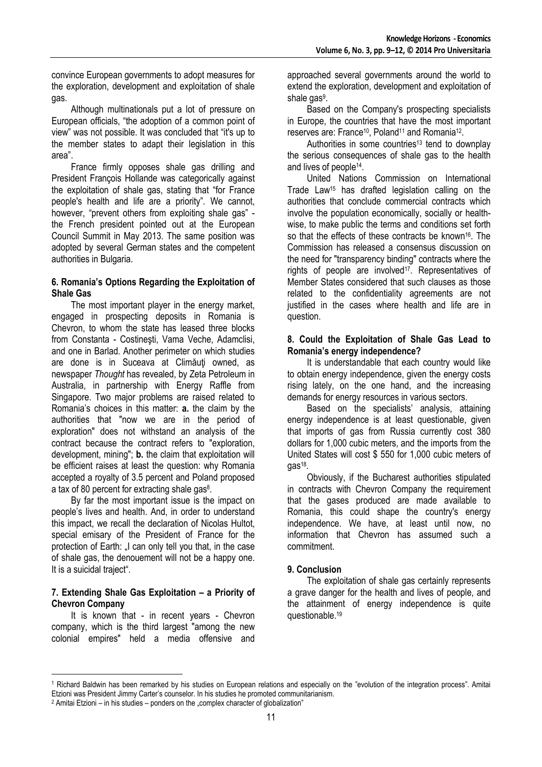convince European governments to adopt measures for the exploration, development and exploitation of shale gas.

Although multinationals put a lot of pressure on European officials, "the adoption of a common point of view" was not possible. It was concluded that "it's up to the member states to adapt their legislation in this area".

France firmly opposes shale gas drilling and President François Hollande was categorically against the exploitation of shale gas, stating that "for France people's health and life are a priority". We cannot, however, "prevent others from exploiting shale gas" the French president pointed out at the European Council Summit in May 2013. The same position was adopted by several German states and the competent authorities in Bulgaria.

#### **6. Romania's Options Regarding the Exploitation of Shale Gas**

The most important player in the energy market, engaged in prospecting deposits in Romania is Chevron, to whom the state has leased three blocks from Constanta - Costineşti, Vama Veche, Adamclisi, and one in Barlad. Another perimeter on which studies are done is in Suceava at Climăuți owned, as newspaper *Thought* has revealed, by Zeta Petroleum in Australia, in partnership with Energy Raffle from Singapore. Two major problems are raised related to Romania's choices in this matter: **a.** the claim by the authorities that "now we are in the period of exploration" does not withstand an analysis of the contract because the contract refers to "exploration, development, mining"; **b.** the claim that exploitation will be efficient raises at least the question: why Romania accepted a royalty of 3.5 percent and Poland proposed a tax of 80 percent for extracting shale gas<sup>8</sup>.

By far the most important issue is the impact on people's lives and health. And, in order to understand this impact, we recall the declaration of Nicolas Hultot, special emisary of the President of France for the protection of Earth: "I can only tell you that, in the case of shale gas, the denouement will not be a happy one. It is a suicidal traject".

# **7. Extending Shale Gas Exploitation – a Priority of Chevron Company**

It is known that - in recent years - Chevron company, which is the third largest "among the new colonial empires" held a media offensive and

 $\overline{a}$ 

approached several governments around the world to extend the exploration, development and exploitation of shale gas<sup>9</sup>.

Based on the Company's prospecting specialists in Europe, the countries that have the most important reserves are: France<sup>10</sup>, Poland<sup>11</sup> and Romania<sup>12</sup>.

Authorities in some countries<sup>13</sup> tend to downplay the serious consequences of shale gas to the health and lives of people<sup>14</sup>.

United Nations Commission on International Trade Law15 has drafted legislation calling on the authorities that conclude commercial contracts which involve the population economically, socially or healthwise, to make public the terms and conditions set forth so that the effects of these contracts be known<sup>16</sup>. The Commission has released a consensus discussion on the need for "transparency binding" contracts where the rights of people are involved17. Representatives of Member States considered that such clauses as those related to the confidentiality agreements are not justified in the cases where health and life are in question.

# **8. Could the Exploitation of Shale Gas Lead to Romania's energy independence?**

It is understandable that each country would like to obtain energy independence, given the energy costs rising lately, on the one hand, and the increasing demands for energy resources in various sectors.

Based on the specialists' analysis, attaining energy independence is at least questionable, given that imports of gas from Russia currently cost 380 dollars for 1,000 cubic meters, and the imports from the United States will cost \$ 550 for 1,000 cubic meters of gas<sup>18</sup>.

Obviously, if the Bucharest authorities stipulated in contracts with Chevron Company the requirement that the gases produced are made available to Romania, this could shape the country's energy independence. We have, at least until now, no information that Chevron has assumed such a commitment.

# **9. Conclusion**

The exploitation of shale gas certainly represents a grave danger for the health and lives of people, and the attainment of energy independence is quite questionable.<sup>19</sup>

<sup>1</sup> Richard Baldwin has been remarked by his studies on European relations and especially on the "evolution of the integration process". Amitai Etzioni was President Jimmy Carter's counselor. In his studies he promoted communitarianism.

<sup>&</sup>lt;sup>2</sup> Amitai Etzioni – in his studies – ponders on the "complex character of globalization"